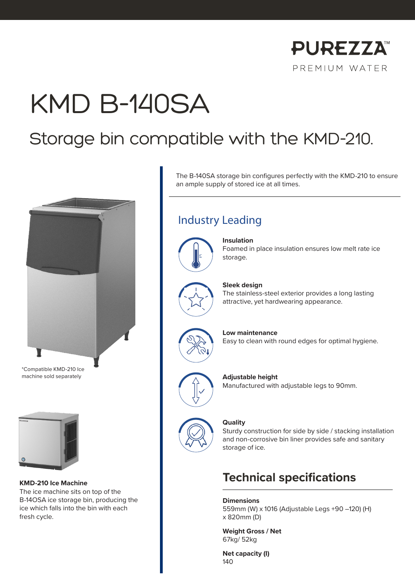

# KMD B-140SA

# Storage bin compatible with the KMD-210.



\*Compatible KMD-210 Ice machine sold separately



**KMD-210 Ice Machine** The ice machine sits on top of the B-14OSA ice storage bin, producing the ice which falls into the bin with each fresh cycle.

The B-140SA storage bin configures perfectly with the KMD-210 to ensure an ample supply of stored ice at all times.

## Industry Leading



### **Insulation**

Foamed in place insulation ensures low melt rate ice storage.



### **Sleek design**

The stainless-steel exterior provides a long lasting attractive, yet hardwearing appearance.



**Low maintenance**

Easy to clean with round edges for optimal hygiene.



### **Adjustable height**

Manufactured with adjustable legs to 90mm.



#### **Quality**

Sturdy construction for side by side / stacking installation and non-corrosive bin liner provides safe and sanitary storage of ice.

### **Technical specifications**

**Dimensions**

559mm (W) x 1016 (Adjustable Legs +90 –120) (H) x 820mm (D)

**Weight Gross / Net** 67kg/ 52kg

**Net capacity (I)** 140